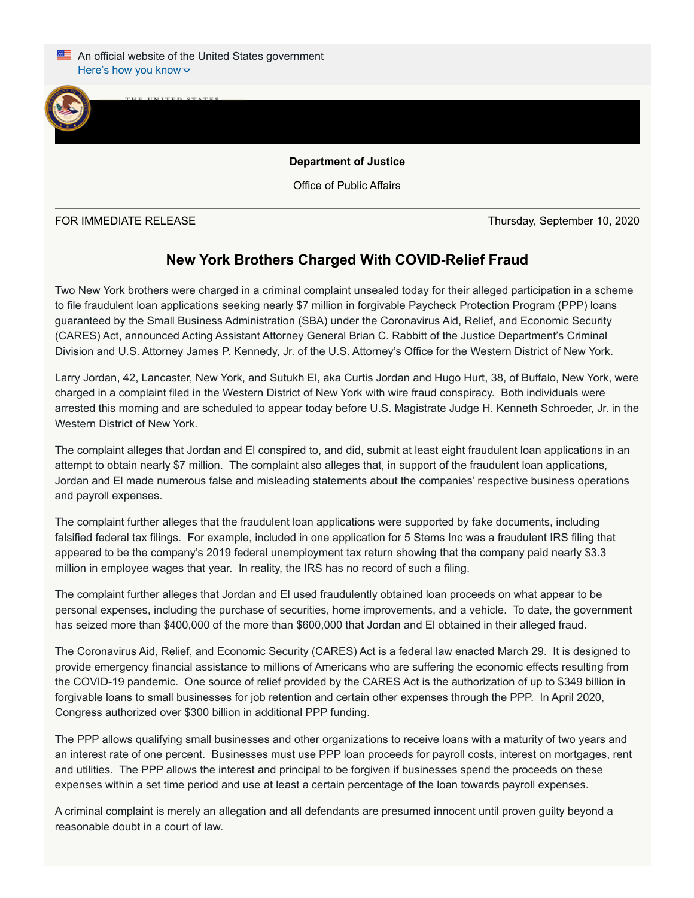

Office of Public Affairs

 $J_{\text{U}}$ 

FOR IMMEDIATE RELEASE Thursday, September 10, 2020

## **New York Brothers Charged With COVID-Relief Fraud**

Two New York brothers were charged in a criminal complaint unsealed today for their alleged participation in a scheme to file fraudulent loan applications seeking nearly \$7 million in forgivable Paycheck Protection Program (PPP) loans guaranteed by the Small Business Administration (SBA) under the Coronavirus Aid, Relief, and Economic Security (CARES) Act, announced Acting Assistant Attorney General Brian C. Rabbitt of the Justice Department's Criminal Division and U.S. Attorney James P. Kennedy, Jr. of the U.S. Attorney's Office for the Western District of New York.

Larry Jordan, 42, Lancaster, New York, and Sutukh El, aka Curtis Jordan and Hugo Hurt, 38, of Buffalo, New York, were charged in a complaint filed in the Western District of New York with wire fraud conspiracy. Both individuals were arrested this morning and are scheduled to appear today before U.S. Magistrate Judge H. Kenneth Schroeder, Jr. in the Western District of New York.

The complaint alleges that Jordan and El conspired to, and did, submit at least eight fraudulent loan applications in an attempt to obtain nearly \$7 million. The complaint also alleges that, in support of the fraudulent loan applications, Jordan and El made numerous false and misleading statements about the companies' respective business operations and payroll expenses.

The complaint further alleges that the fraudulent loan applications were supported by fake documents, including falsified federal tax filings. For example, included in one application for 5 Stems Inc was a fraudulent IRS filing that appeared to be the company's 2019 federal unemployment tax return showing that the company paid nearly \$3.3 million in employee wages that year. In reality, the IRS has no record of such a filing.

The complaint further alleges that Jordan and El used fraudulently obtained loan proceeds on what appear to be personal expenses, including the purchase of securities, home improvements, and a vehicle. To date, the government has seized more than \$400,000 of the more than \$600,000 that Jordan and El obtained in their alleged fraud.

The Coronavirus Aid, Relief, and Economic Security (CARES) Act is a federal law enacted March 29. It is designed to provide emergency financial assistance to millions of Americans who are suffering the economic effects resulting from the COVID-19 pandemic. One source of relief provided by the CARES Act is the authorization of up to \$349 billion in forgivable loans to small businesses for job retention and certain other expenses through the PPP. In April 2020, Congress authorized over \$300 billion in additional PPP funding.

The PPP allows qualifying small businesses and other organizations to receive loans with a maturity of two years and an interest rate of one percent. Businesses must use PPP loan proceeds for payroll costs, interest on mortgages, rent and utilities. The PPP allows the interest and principal to be forgiven if businesses spend the proceeds on these expenses within a set time period and use at least a certain percentage of the loan towards payroll expenses.

A criminal complaint is merely an allegation and all defendants are presumed innocent until proven guilty beyond a reasonable doubt in a court of law.